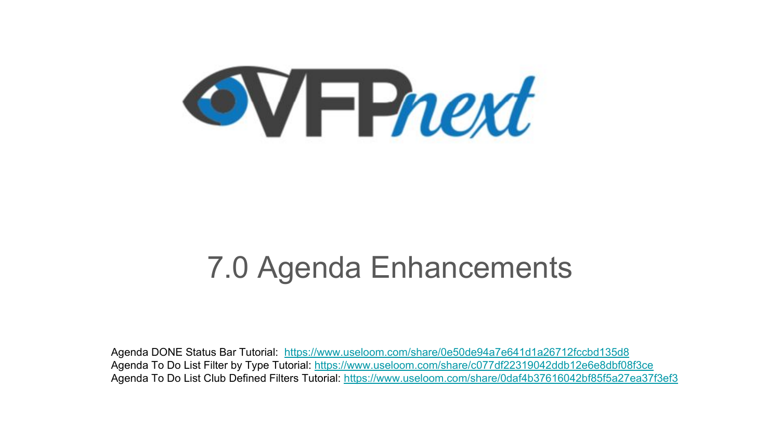

### 7.0 Agenda Enhancements

Agenda DONE Status Bar Tutorial: <https://www.useloom.com/share/0e50de94a7e641d1a26712fccbd135d8> Agenda To Do List Filter by Type Tutorial:<https://www.useloom.com/share/c077df22319042ddb12e6e8dbf08f3ce> Agenda To Do List Club Defined Filters Tutorial: <https://www.useloom.com/share/0daf4b37616042bf85f5a27ea37f3ef3>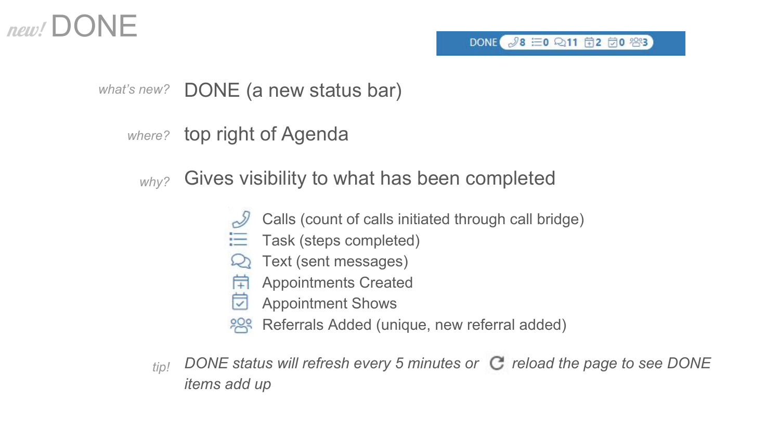### $new!/$  DONE

### what's new? DONE (a new status bar)

### where? top right of Agenda

#### Gives visibility to what has been completed *why?*

- Calls (count of calls initiated through call bridge)
- Task (steps completed)
- Text (sent messages)
- Appointments Created
- Appointment Shows
- Referrals Added (unique, new referral added)
- *DONE status will refresh every 5 minutes or C reload the page to see DONE items add up tip!*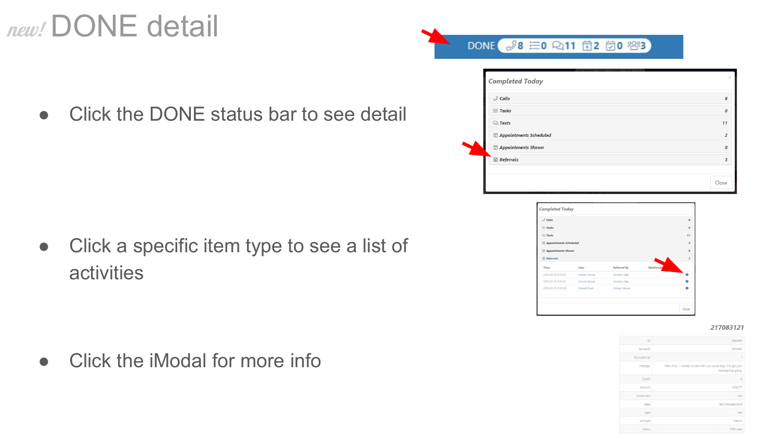# new! DONE detail

● Click the DONE status bar to see detail

● Click a specific item type to see a list of activities

• Click the iModal for more info

| $\mathcal S$ Calls     |    |
|------------------------|----|
| $\equiv$ Tasks         |    |
| $\mathbb{Q}$ Texts     | 11 |
| Appointments Scheduled |    |
| Appointments Shown     |    |
| Referrals              |    |
|                        |    |



217083121

| 5060580                                                                             | ID                  |
|-------------------------------------------------------------------------------------|---------------------|
| 5050962                                                                             | SenderID            |
| ł                                                                                   | <b>ExcludeEmail</b> |
| Hello Amy - I wanted to see when you could stop in to get your<br>membership going. | message             |
| 6                                                                                   | ClubID              |
| 2092177                                                                             | Account             |
| der                                                                                 | Subdomain           |
| /api/message/send                                                                   | page                |
| text                                                                                | type                |
| Walk-in                                                                             | JoinType            |
| DGR Lead                                                                            | Status              |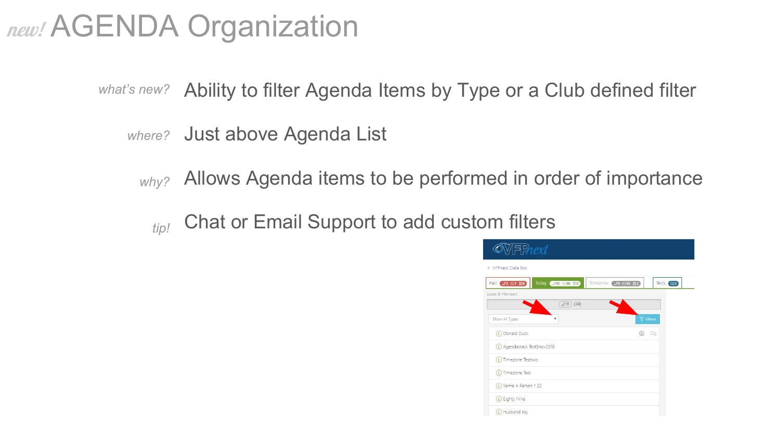## **new! AGENDA Organization**

- what's new? Ability to filter Agenda Items by Type or a Club defined filter
	- where? Just above Agenda List
		- Allows Agenda items to be performed in order of importance *why?*
			- Chat or Email Support to add custom filters *tip!*

| $\bullet$ MFPnext                 |                    |                  |            |  |
|-----------------------------------|--------------------|------------------|------------|--|
| < VFPnext Data Box                |                    |                  |            |  |
| Today 392 = 98 0<br>Past 32 三7 前0 | Tomorrow 30 三93 菌2 |                  | Texts (21) |  |
| Leads & Members                   |                    |                  |            |  |
| $\mathcal{J} \equiv (24)$         |                    |                  |            |  |
| $\mathbf{v}$<br>Show All Types    |                    | <b>Y</b> Filters |            |  |
| (L) Donald Duck                   | $\Omega$           | $\Omega$         |            |  |
| (L) Agendatrack Test5nov2018      |                    |                  |            |  |
| (L) Timezone Testtwo              |                    |                  |            |  |
| (L) Timezone Test                 |                    |                  |            |  |
| (L) Some A Person 1 22            |                    |                  |            |  |
| (L) Eighty Nine                   |                    |                  |            |  |
| L Husband Joy                     |                    |                  |            |  |